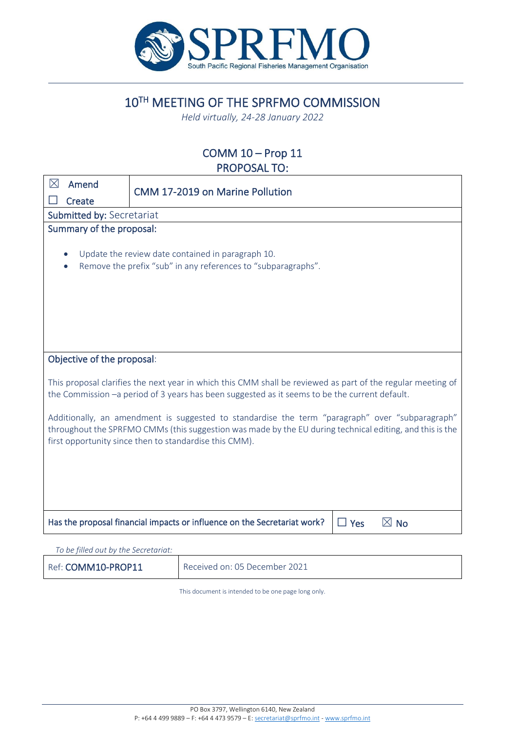

10TH MEETING OF THE SPRFMO COMMISSION

*Held virtually, 24-28 January 2022*

# COMM 10 – Prop 11 PROPOSAL TO:

| $\boxtimes$<br>Amend                                                                                                                                                                                                                                                  | <b>CMM 17-2019 on Marine Pollution</b>                                                                             |  |
|-----------------------------------------------------------------------------------------------------------------------------------------------------------------------------------------------------------------------------------------------------------------------|--------------------------------------------------------------------------------------------------------------------|--|
| Create                                                                                                                                                                                                                                                                |                                                                                                                    |  |
| Submitted by: Secretariat                                                                                                                                                                                                                                             |                                                                                                                    |  |
| Summary of the proposal:                                                                                                                                                                                                                                              |                                                                                                                    |  |
|                                                                                                                                                                                                                                                                       | Update the review date contained in paragraph 10.<br>Remove the prefix "sub" in any references to "subparagraphs". |  |
| Objective of the proposal:                                                                                                                                                                                                                                            |                                                                                                                    |  |
| This proposal clarifies the next year in which this CMM shall be reviewed as part of the regular meeting of<br>the Commission -a period of 3 years has been suggested as it seems to be the current default.                                                          |                                                                                                                    |  |
| Additionally, an amendment is suggested to standardise the term "paragraph" over "subparagraph"<br>throughout the SPRFMO CMMs (this suggestion was made by the EU during technical editing, and this is the<br>first opportunity since then to standardise this CMM). |                                                                                                                    |  |
|                                                                                                                                                                                                                                                                       |                                                                                                                    |  |
|                                                                                                                                                                                                                                                                       |                                                                                                                    |  |
|                                                                                                                                                                                                                                                                       | $\boxtimes$ No<br>Has the proposal financial impacts or influence on the Secretariat work?<br>$\Box$ Yes           |  |
|                                                                                                                                                                                                                                                                       |                                                                                                                    |  |

| To be filled out by the Secretariat: |                               |
|--------------------------------------|-------------------------------|
| Ref: COMM10-PROP11                   | Received on: 05 December 2021 |

This document is intended to be one page long only.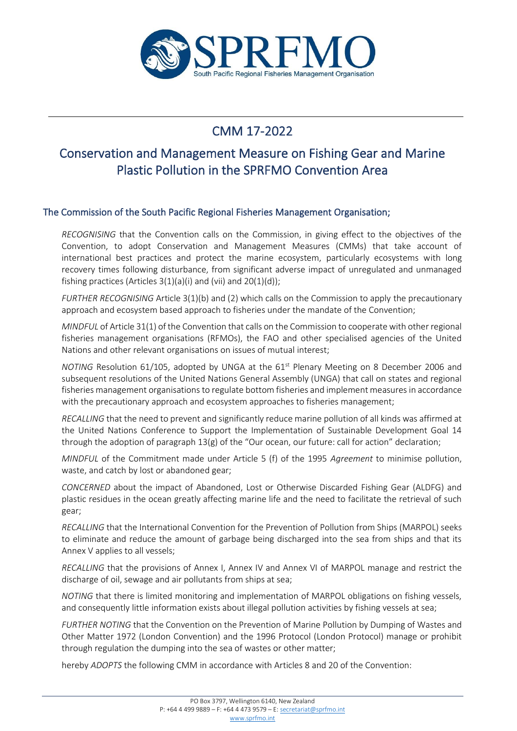

# CMM 17-2022

# Conservation and Management Measure on Fishing Gear and Marine Plastic Pollution in the SPRFMO Convention Area

## The Commission of the South Pacific Regional Fisheries Management Organisation;

*RECOGNISING* that the Convention calls on the Commission, in giving effect to the objectives of the Convention, to adopt Conservation and Management Measures (CMMs) that take account of international best practices and protect the marine ecosystem, particularly ecosystems with long recovery times following disturbance, from significant adverse impact of unregulated and unmanaged fishing practices (Articles  $3(1)(a)(i)$  and  $(vii)$  and  $20(1)(d)$ );

*FURTHER RECOGNISING* Article 3(1)(b) and (2) which calls on the Commission to apply the precautionary approach and ecosystem based approach to fisheries under the mandate of the Convention;

*MINDFUL* of Article 31(1) of the Convention that calls on the Commission to cooperate with other regional fisheries management organisations (RFMOs), the FAO and other specialised agencies of the United Nations and other relevant organisations on issues of mutual interest;

*NOTING* Resolution 61/105, adopted by UNGA at the 61<sup>st</sup> Plenary Meeting on 8 December 2006 and subsequent resolutions of the United Nations General Assembly (UNGA) that call on states and regional fisheries management organisations to regulate bottom fisheries and implement measures in accordance with the precautionary approach and ecosystem approaches to fisheries management;

*RECALLING* that the need to prevent and significantly reduce marine pollution of all kinds was affirmed at the United Nations Conference to Support the Implementation of Sustainable Development Goal 14 through the adoption of paragraph  $13(g)$  of the "Our ocean, our future: call for action" declaration;

*MINDFUL* of the Commitment made under Article 5 (f) of the 1995 *Agreement* to minimise pollution, waste, and catch by lost or abandoned gear;

*CONCERNED* about the impact of Abandoned, Lost or Otherwise Discarded Fishing Gear (ALDFG) and plastic residues in the ocean greatly affecting marine life and the need to facilitate the retrieval of such gear;

*RECALLING* that the International Convention for the Prevention of Pollution from Ships (MARPOL) seeks to eliminate and reduce the amount of garbage being discharged into the sea from ships and that its Annex V applies to all vessels;

*RECALLING* that the provisions of Annex I, Annex IV and Annex VI of MARPOL manage and restrict the discharge of oil, sewage and air pollutants from ships at sea;

*NOTING* that there is limited monitoring and implementation of MARPOL obligations on fishing vessels, and consequently little information exists about illegal pollution activities by fishing vessels at sea;

*FURTHER NOTING* that the Convention on the Prevention of Marine Pollution by Dumping of Wastes and Other Matter 1972 (London Convention) and the 1996 Protocol (London Protocol) manage or prohibit through regulation the dumping into the sea of wastes or other matter;

hereby *ADOPTS* the following CMM in accordance with Articles 8 and 20 of the Convention: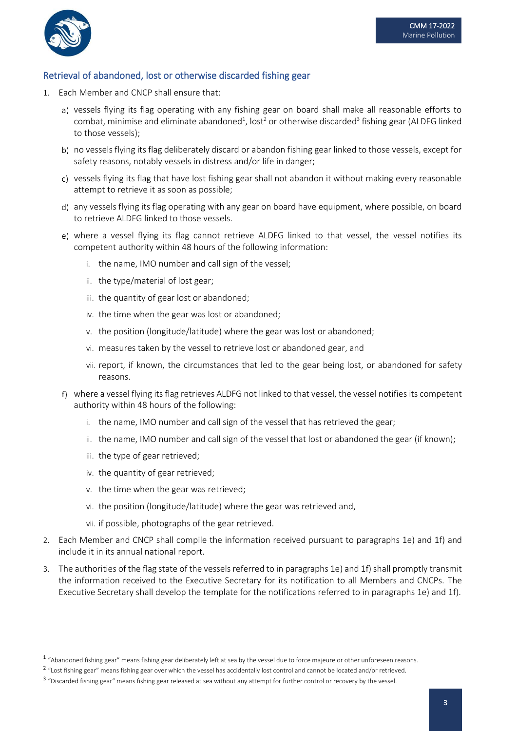

### Retrieval of abandoned, lost or otherwise discarded fishing gear

- 1. Each Member and CNCP shall ensure that:
	- a) vessels flying its flag operating with any fishing gear on board shall make all reasonable efforts to combat, minimise and eliminate abandoned<sup>1</sup>, lost<sup>2</sup> or otherwise discarded<sup>3</sup> fishing gear (ALDFG linked to those vessels);
	- b) no vessels flying its flag deliberately discard or abandon fishing gear linked to those vessels, except for safety reasons, notably vessels in distress and/or life in danger;
	- c) vessels flying its flag that have lost fishing gear shall not abandon it without making every reasonable attempt to retrieve it as soon as possible;
	- any vessels flying its flag operating with any gear on board have equipment, where possible, on board to retrieve ALDFG linked to those vessels.
	- where a vessel flying its flag cannot retrieve ALDFG linked to that vessel, the vessel notifies its competent authority within 48 hours of the following information:
		- i. the name, IMO number and call sign of the vessel;
		- ii. the type/material of lost gear;
		- iii. the quantity of gear lost or abandoned;
		- iv. the time when the gear was lost or abandoned;
		- v. the position (longitude/latitude) where the gear was lost or abandoned;
		- vi. measures taken by the vessel to retrieve lost or abandoned gear, and
		- vii. report, if known, the circumstances that led to the gear being lost, or abandoned for safety reasons.
	- where a vessel flying its flag retrieves ALDFG not linked to that vessel, the vessel notifies its competent authority within 48 hours of the following:
		- i. the name, IMO number and call sign of the vessel that has retrieved the gear;
		- ii. the name, IMO number and call sign of the vessel that lost or abandoned the gear (if known);
		- iii. the type of gear retrieved;
		- iv. the quantity of gear retrieved;
		- v. the time when the gear was retrieved;
		- vi. the position (longitude/latitude) where the gear was retrieved and,
		- vii. if possible, photographs of the gear retrieved.
- 2. Each Member and CNCP shall compile the information received pursuant to paragraphs 1e) and 1f) and include it in its annual national report.
- 3. The authorities of the flag state of the vessels referred to in paragraphs 1e) and 1f) shall promptly transmit the information received to the Executive Secretary for its notification to all Members and CNCPs. The Executive Secretary shall develop the template for the notifications referred to in paragraphs 1e) and 1f).

 $^{\rm 1}$  "Abandoned fishing gear" means fishing gear deliberately left at sea by the vessel due to force majeure or other unforeseen reasons.

<sup>&</sup>lt;sup>2</sup> "Lost fishing gear" means fishing gear over which the vessel has accidentally lost control and cannot be located and/or retrieved.

<sup>&</sup>lt;sup>3</sup> "Discarded fishing gear" means fishing gear released at sea without any attempt for further control or recovery by the vessel.